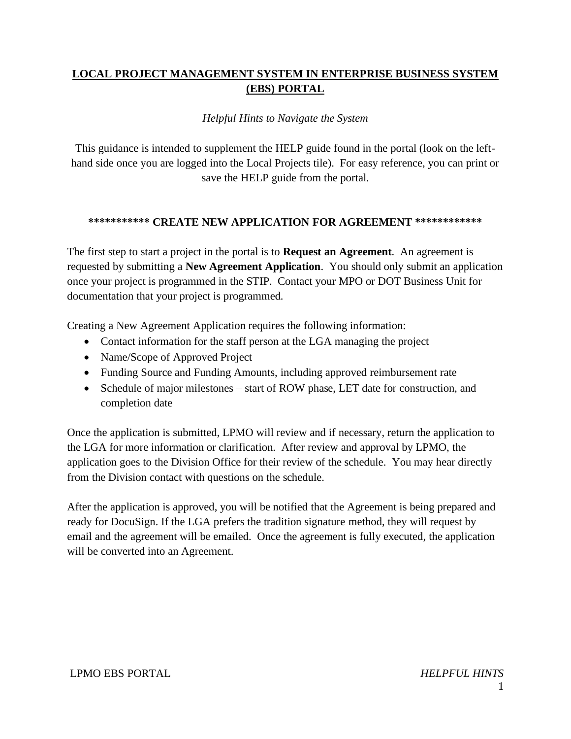# **LOCAL PROJECT MANAGEMENT SYSTEM IN ENTERPRISE BUSINESS SYSTEM (EBS) PORTAL**

### *Helpful Hints to Navigate the System*

This guidance is intended to supplement the HELP guide found in the portal (look on the lefthand side once you are logged into the Local Projects tile). For easy reference, you can print or save the HELP guide from the portal.

### **\*\*\*\*\*\*\*\*\*\*\* CREATE NEW APPLICATION FOR AGREEMENT \*\*\*\*\*\*\*\*\*\*\*\***

The first step to start a project in the portal is to **Request an Agreement**. An agreement is requested by submitting a **New Agreement Application**. You should only submit an application once your project is programmed in the STIP. Contact your MPO or DOT Business Unit for documentation that your project is programmed.

Creating a New Agreement Application requires the following information:

- Contact information for the staff person at the LGA managing the project
- Name/Scope of Approved Project
- Funding Source and Funding Amounts, including approved reimbursement rate
- Schedule of major milestones start of ROW phase, LET date for construction, and completion date

Once the application is submitted, LPMO will review and if necessary, return the application to the LGA for more information or clarification. After review and approval by LPMO, the application goes to the Division Office for their review of the schedule. You may hear directly from the Division contact with questions on the schedule.

After the application is approved, you will be notified that the Agreement is being prepared and ready for DocuSign. If the LGA prefers the tradition signature method, they will request by email and the agreement will be emailed. Once the agreement is fully executed, the application will be converted into an Agreement.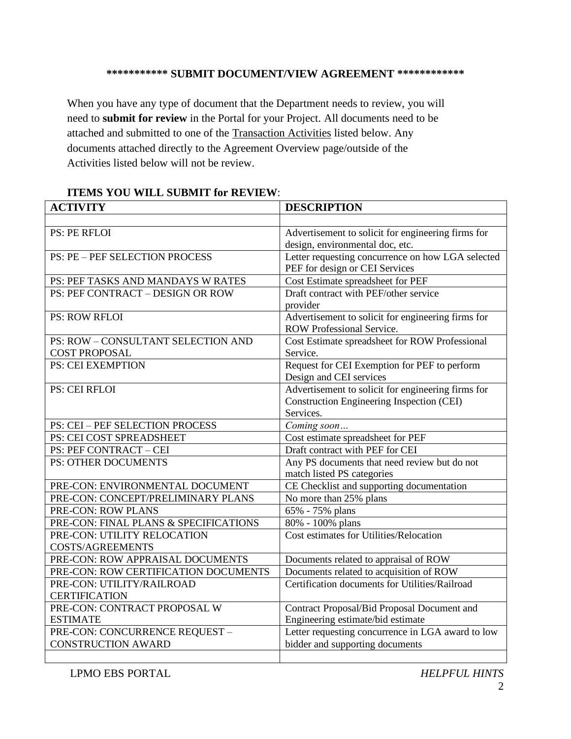## **\*\*\*\*\*\*\*\*\*\*\* SUBMIT DOCUMENT/VIEW AGREEMENT \*\*\*\*\*\*\*\*\*\*\*\***

When you have any type of document that the Department needs to review, you will need to **submit for review** in the Portal for your Project. All documents need to be attached and submitted to one of the Transaction Activities listed below. Any documents attached directly to the Agreement Overview page/outside of the Activities listed below will not be review.

| <b>ACTIVITY</b>                        | <b>DESCRIPTION</b>                                     |
|----------------------------------------|--------------------------------------------------------|
|                                        |                                                        |
| <b>PS: PE RFLOI</b>                    | Advertisement to solicit for engineering firms for     |
|                                        | design, environmental doc, etc.                        |
| <b>PS: PE - PEF SELECTION PROCESS</b>  | Letter requesting concurrence on how LGA selected      |
|                                        | PEF for design or CEI Services                         |
| PS: PEF TASKS AND MANDAYS W RATES      | Cost Estimate spreadsheet for PEF                      |
| PS: PEF CONTRACT - DESIGN OR ROW       | Draft contract with PEF/other service                  |
|                                        | provider                                               |
| <b>PS: ROW RFLOI</b>                   | Advertisement to solicit for engineering firms for     |
|                                        | <b>ROW Professional Service.</b>                       |
| PS: ROW - CONSULTANT SELECTION AND     | Cost Estimate spreadsheet for ROW Professional         |
| <b>COST PROPOSAL</b>                   | Service.                                               |
| <b>PS: CEI EXEMPTION</b>               | Request for CEI Exemption for PEF to perform           |
|                                        | Design and CEI services                                |
| PS: CEI RFLOI                          | Advertisement to solicit for engineering firms for     |
|                                        | Construction Engineering Inspection (CEI)<br>Services. |
| <b>PS: CEI - PEF SELECTION PROCESS</b> |                                                        |
| PS: CEI COST SPREADSHEET               | Coming soon<br>Cost estimate spreadsheet for PEF       |
| PS: PEF CONTRACT - CEI                 | Draft contract with PEF for CEI                        |
| <b>PS: OTHER DOCUMENTS</b>             | Any PS documents that need review but do not           |
|                                        | match listed PS categories                             |
| PRE-CON: ENVIRONMENTAL DOCUMENT        | CE Checklist and supporting documentation              |
| PRE-CON: CONCEPT/PRELIMINARY PLANS     | No more than 25% plans                                 |
| PRE-CON: ROW PLANS                     | 65% - 75% plans                                        |
| PRE-CON: FINAL PLANS & SPECIFICATIONS  | 80% - 100% plans                                       |
| PRE-CON: UTILITY RELOCATION            | Cost estimates for Utilities/Relocation                |
| <b>COSTS/AGREEMENTS</b>                |                                                        |
| PRE-CON: ROW APPRAISAL DOCUMENTS       | Documents related to appraisal of ROW                  |
| PRE-CON: ROW CERTIFICATION DOCUMENTS   | Documents related to acquisition of ROW                |
| PRE-CON: UTILITY/RAILROAD              | Certification documents for Utilities/Railroad         |
| <b>CERTIFICATION</b>                   |                                                        |
| PRE-CON: CONTRACT PROPOSAL W           | Contract Proposal/Bid Proposal Document and            |
| <b>ESTIMATE</b>                        | Engineering estimate/bid estimate                      |
| PRE-CON: CONCURRENCE REQUEST-          | Letter requesting concurrence in LGA award to low      |
| <b>CONSTRUCTION AWARD</b>              | bidder and supporting documents                        |
|                                        |                                                        |

### **ITEMS YOU WILL SUBMIT for REVIEW**: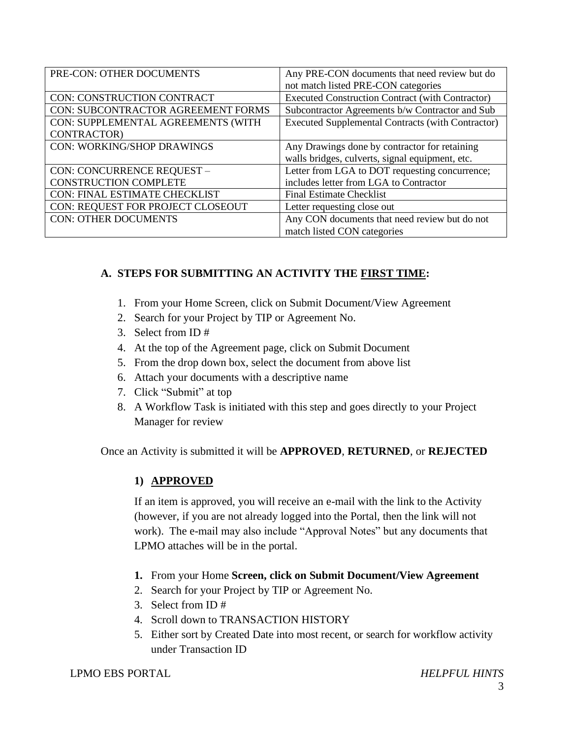| PRE-CON: OTHER DOCUMENTS                  | Any PRE-CON documents that need review but do<br>not match listed PRE-CON categories |
|-------------------------------------------|--------------------------------------------------------------------------------------|
| CON: CONSTRUCTION CONTRACT                | <b>Executed Construction Contract (with Contractor)</b>                              |
| <b>CON: SUBCONTRACTOR AGREEMENT FORMS</b> | Subcontractor Agreements b/w Contractor and Sub                                      |
| CON: SUPPLEMENTAL AGREEMENTS (WITH        | <b>Executed Supplemental Contracts (with Contractor)</b>                             |
| CONTRACTOR)                               |                                                                                      |
| <b>CON: WORKING/SHOP DRAWINGS</b>         | Any Drawings done by contractor for retaining                                        |
|                                           | walls bridges, culverts, signal equipment, etc.                                      |
| CON: CONCURRENCE REQUEST -                | Letter from LGA to DOT requesting concurrence;                                       |
| <b>CONSTRUCTION COMPLETE</b>              | includes letter from LGA to Contractor                                               |
| <b>CON: FINAL ESTIMATE CHECKLIST</b>      | <b>Final Estimate Checklist</b>                                                      |
| CON: REQUEST FOR PROJECT CLOSEOUT         | Letter requesting close out                                                          |
| <b>CON: OTHER DOCUMENTS</b>               | Any CON documents that need review but do not                                        |
|                                           | match listed CON categories                                                          |

## **A. STEPS FOR SUBMITTING AN ACTIVITY THE FIRST TIME:**

- 1. From your Home Screen, click on Submit Document/View Agreement
- 2. Search for your Project by TIP or Agreement No.
- 3. Select from ID #
- 4. At the top of the Agreement page, click on Submit Document
- 5. From the drop down box, select the document from above list
- 6. Attach your documents with a descriptive name
- 7. Click "Submit" at top
- 8. A Workflow Task is initiated with this step and goes directly to your Project Manager for review

Once an Activity is submitted it will be **APPROVED**, **RETURNED**, or **REJECTED**

### **1) APPROVED**

If an item is approved, you will receive an e-mail with the link to the Activity (however, if you are not already logged into the Portal, then the link will not work). The e-mail may also include "Approval Notes" but any documents that LPMO attaches will be in the portal.

- **1.** From your Home **Screen, click on Submit Document/View Agreement**
- 2. Search for your Project by TIP or Agreement No.
- 3. Select from ID #
- 4. Scroll down to TRANSACTION HISTORY
- 5. Either sort by Created Date into most recent, or search for workflow activity under Transaction ID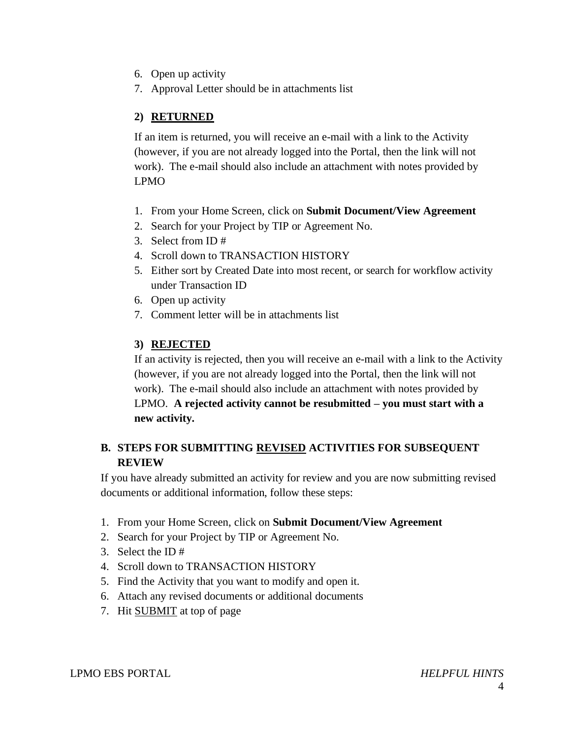- 6. Open up activity
- 7. Approval Letter should be in attachments list

## **2) RETURNED**

If an item is returned, you will receive an e-mail with a link to the Activity (however, if you are not already logged into the Portal, then the link will not work). The e-mail should also include an attachment with notes provided by LPMO

- 1. From your Home Screen, click on **Submit Document/View Agreement**
- 2. Search for your Project by TIP or Agreement No.
- 3. Select from ID #
- 4. Scroll down to TRANSACTION HISTORY
- 5. Either sort by Created Date into most recent, or search for workflow activity under Transaction ID
- 6. Open up activity
- 7. Comment letter will be in attachments list

# **3) REJECTED**

If an activity is rejected, then you will receive an e-mail with a link to the Activity (however, if you are not already logged into the Portal, then the link will not work). The e-mail should also include an attachment with notes provided by LPMO. **A rejected activity cannot be resubmitted – you must start with a new activity.**

## **B. STEPS FOR SUBMITTING REVISED ACTIVITIES FOR SUBSEQUENT REVIEW**

If you have already submitted an activity for review and you are now submitting revised documents or additional information, follow these steps:

- 1. From your Home Screen, click on **Submit Document/View Agreement**
- 2. Search for your Project by TIP or Agreement No.
- 3. Select the ID #
- 4. Scroll down to TRANSACTION HISTORY
- 5. Find the Activity that you want to modify and open it.
- 6. Attach any revised documents or additional documents
- 7. Hit SUBMIT at top of page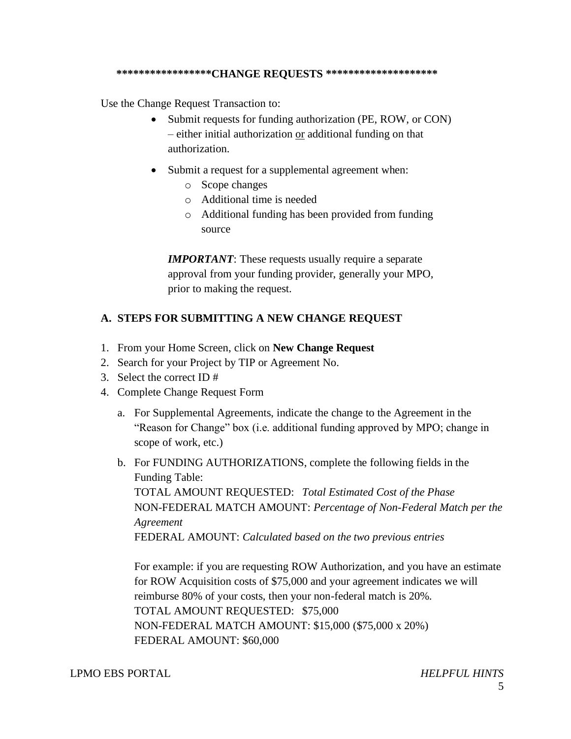#### **\*\*\*\*\*\*\*\*\*\*\*\*\*\*\*\*\*CHANGE REQUESTS \*\*\*\*\*\*\*\*\*\*\*\*\*\*\*\*\*\*\*\***

Use the Change Request Transaction to:

- Submit requests for funding authorization (PE, ROW, or CON) – either initial authorization or additional funding on that authorization.
- Submit a request for a supplemental agreement when:
	- o Scope changes
	- o Additional time is needed
	- o Additional funding has been provided from funding source

*IMPORTANT:* These requests usually require a separate approval from your funding provider, generally your MPO, prior to making the request.

### **A. STEPS FOR SUBMITTING A NEW CHANGE REQUEST**

- 1. From your Home Screen, click on **New Change Request**
- 2. Search for your Project by TIP or Agreement No.
- 3. Select the correct ID #
- 4. Complete Change Request Form
	- a. For Supplemental Agreements, indicate the change to the Agreement in the "Reason for Change" box (i.e. additional funding approved by MPO; change in scope of work, etc.)
	- b. For FUNDING AUTHORIZATIONS, complete the following fields in the Funding Table: TOTAL AMOUNT REQUESTED: *Total Estimated Cost of the Phase* NON-FEDERAL MATCH AMOUNT: *Percentage of Non-Federal Match per the Agreement* FEDERAL AMOUNT: *Calculated based on the two previous entries*

For example: if you are requesting ROW Authorization, and you have an estimate for ROW Acquisition costs of \$75,000 and your agreement indicates we will reimburse 80% of your costs, then your non-federal match is 20%. TOTAL AMOUNT REQUESTED: \$75,000 NON-FEDERAL MATCH AMOUNT: \$15,000 (\$75,000 x 20%) FEDERAL AMOUNT: \$60,000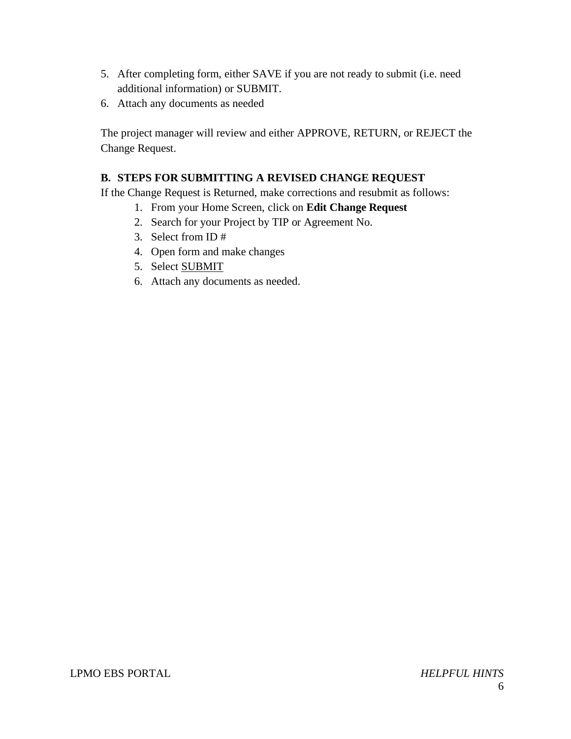- 5. After completing form, either SAVE if you are not ready to submit (i.e. need additional information) or SUBMIT.
- 6. Attach any documents as needed

The project manager will review and either APPROVE, RETURN, or REJECT the Change Request.

## **B. STEPS FOR SUBMITTING A REVISED CHANGE REQUEST**

If the Change Request is Returned, make corrections and resubmit as follows:

- 1. From your Home Screen, click on **Edit Change Request**
- 2. Search for your Project by TIP or Agreement No.
- 3. Select from ID #
- 4. Open form and make changes
- 5. Select SUBMIT
- 6. Attach any documents as needed.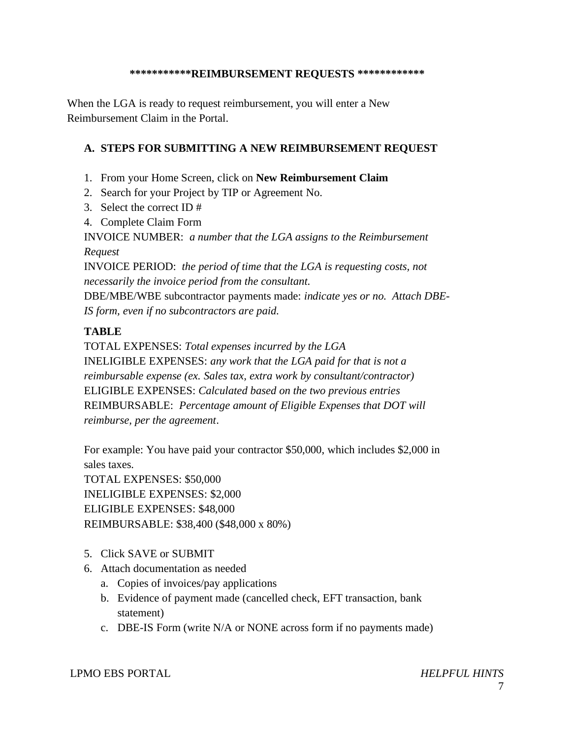### **\*\*\*\*\*\*\*\*\*\*\*REIMBURSEMENT REQUESTS \*\*\*\*\*\*\*\*\*\*\*\***

When the LGA is ready to request reimbursement, you will enter a New Reimbursement Claim in the Portal.

## **A. STEPS FOR SUBMITTING A NEW REIMBURSEMENT REQUEST**

- 1. From your Home Screen, click on **New Reimbursement Claim**
- 2. Search for your Project by TIP or Agreement No.
- 3. Select the correct ID #
- 4. Complete Claim Form

INVOICE NUMBER: *a number that the LGA assigns to the Reimbursement Request*

INVOICE PERIOD: *the period of time that the LGA is requesting costs, not necessarily the invoice period from the consultant.*

DBE/MBE/WBE subcontractor payments made: *indicate yes or no. Attach DBE-IS form, even if no subcontractors are paid.*

## **TABLE**

TOTAL EXPENSES: *Total expenses incurred by the LGA* INELIGIBLE EXPENSES: *any work that the LGA paid for that is not a reimbursable expense (ex. Sales tax, extra work by consultant/contractor)* ELIGIBLE EXPENSES: *Calculated based on the two previous entries* REIMBURSABLE: *Percentage amount of Eligible Expenses that DOT will reimburse, per the agreement*.

For example: You have paid your contractor \$50,000, which includes \$2,000 in sales taxes.

TOTAL EXPENSES: \$50,000 INELIGIBLE EXPENSES: \$2,000 ELIGIBLE EXPENSES: \$48,000 REIMBURSABLE: \$38,400 (\$48,000 x 80%)

- 5. Click SAVE or SUBMIT
- 6. Attach documentation as needed
	- a. Copies of invoices/pay applications
	- b. Evidence of payment made (cancelled check, EFT transaction, bank statement)
	- c. DBE-IS Form (write N/A or NONE across form if no payments made)